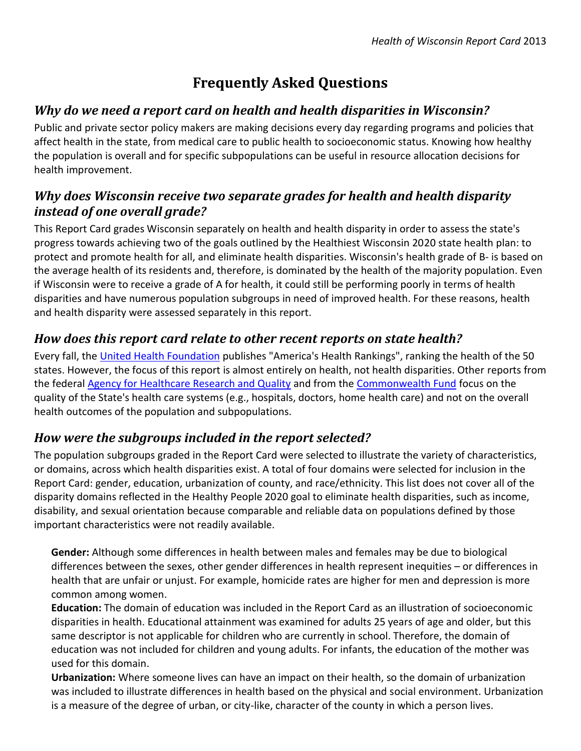# **Frequently Asked Questions**

### *Why do we need a report card on health and health disparities in Wisconsin?*

Public and private sector policy makers are making decisions every day regarding programs and policies that affect health in the state, from medical care to public health to socioeconomic status. Knowing how healthy the population is overall and for specific subpopulations can be useful in resource allocation decisions for health improvement.

#### *Why does Wisconsin receive two separate grades for health and health disparity instead of one overall grade?*

This Report Card grades Wisconsin separately on health and health disparity in order to assess the state's progress towards achieving two of the goals outlined by the Healthiest Wisconsin 2020 state health plan: to protect and promote health for all, and eliminate health disparities. Wisconsin's health grade of B- is based on the average health of its residents and, therefore, is dominated by the health of the majority population. Even if Wisconsin were to receive a grade of A for health, it could still be performing poorly in terms of health disparities and have numerous population subgroups in need of improved health. For these reasons, health and health disparity were assessed separately in this report.

#### *How does this report card relate to other recent reports on state health?*

Every fall, the [United Health Foundation](http://www.unitedhealthfoundation.org/) publishes "America's Health Rankings", ranking the health of the 50 states. However, the focus of this report is almost entirely on health, not health disparities. Other reports from the federal [Agency for Healthcare Research and Quality](http://www.ahrq.gov/research/data/state-snapshots/) and from the [Commonwealth Fund](http://datacenter.commonwealthfund.org/#ind=600/sc=47) focus on the quality of the State's health care systems (e.g., hospitals, doctors, home health care) and not on the overall health outcomes of the population and subpopulations.

#### *How were the subgroups included in the report selected?*

The population subgroups graded in the Report Card were selected to illustrate the variety of characteristics, or domains, across which health disparities exist. A total of four domains were selected for inclusion in the Report Card: gender, education, urbanization of county, and race/ethnicity. This list does not cover all of the disparity domains reflected in the Healthy People 2020 goal to eliminate health disparities, such as income, disability, and sexual orientation because comparable and reliable data on populations defined by those important characteristics were not readily available.

**Gender:** Although some differences in health between males and females may be due to biological differences between the sexes, other gender differences in health represent inequities – or differences in health that are unfair or unjust. For example, homicide rates are higher for men and depression is more common among women.

**Education:** The domain of education was included in the Report Card as an illustration of socioeconomic disparities in health. Educational attainment was examined for adults 25 years of age and older, but this same descriptor is not applicable for children who are currently in school. Therefore, the domain of education was not included for children and young adults. For infants, the education of the mother was used for this domain.

**Urbanization:** Where someone lives can have an impact on their health, so the domain of urbanization was included to illustrate differences in health based on the physical and social environment. Urbanization is a measure of the degree of urban, or city-like, character of the county in which a person lives.